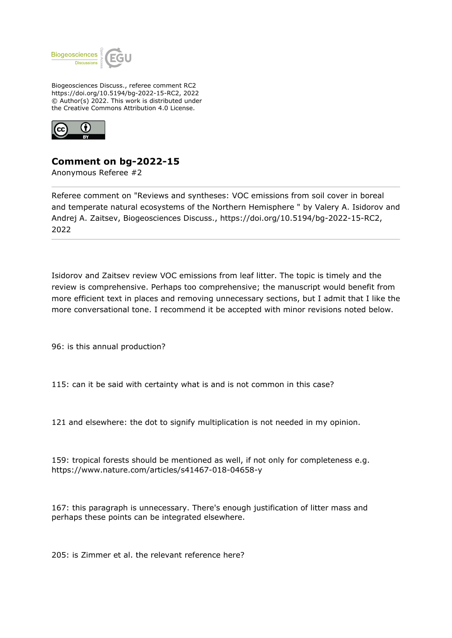

Biogeosciences Discuss., referee comment RC2 https://doi.org/10.5194/bg-2022-15-RC2, 2022 © Author(s) 2022. This work is distributed under the Creative Commons Attribution 4.0 License.



## **Comment on bg-2022-15**

Anonymous Referee #2

Referee comment on "Reviews and syntheses: VOC emissions from soil cover in boreal and temperate natural ecosystems of the Northern Hemisphere " by Valery A. Isidorov and Andrej A. Zaitsev, Biogeosciences Discuss., https://doi.org/10.5194/bg-2022-15-RC2, 2022

Isidorov and Zaitsev review VOC emissions from leaf litter. The topic is timely and the review is comprehensive. Perhaps too comprehensive; the manuscript would benefit from more efficient text in places and removing unnecessary sections, but I admit that I like the more conversational tone. I recommend it be accepted with minor revisions noted below.

96: is this annual production?

115: can it be said with certainty what is and is not common in this case?

121 and elsewhere: the dot to signify multiplication is not needed in my opinion.

159: tropical forests should be mentioned as well, if not only for completeness e.g. https://www.nature.com/articles/s41467-018-04658-y

167: this paragraph is unnecessary. There's enough justification of litter mass and perhaps these points can be integrated elsewhere.

205: is Zimmer et al. the relevant reference here?